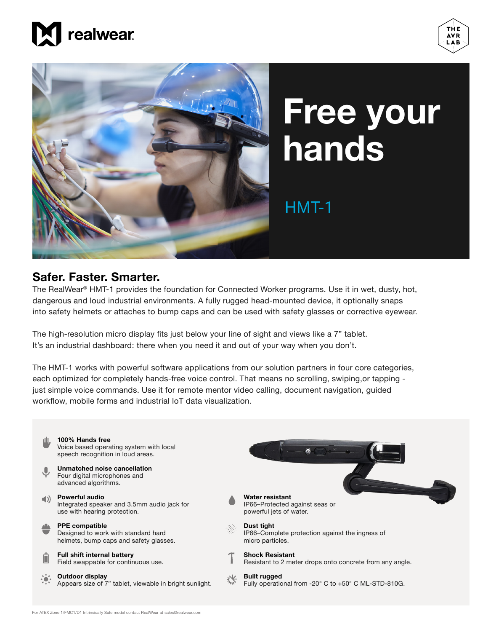





## **Free your hands**

## HMT-1

## **Safer. Faster. Smarter.**

The RealWear<sup>®</sup> HMT-1 provides the foundation for Connected Worker programs. Use it in wet, dusty, hot, dangerous and loud industrial environments. A fully rugged head-mounted device, it optionally snaps into safety helmets or attaches to bump caps and can be used with safety glasses or corrective eyewear.

The high-resolution micro display fits just below your line of sight and views like a 7" tablet. It's an industrial dashboard: there when you need it and out of your way when you don't.

The HMT-1 works with powerful software applications from our solution partners in four core categories, each optimized for completely hands-free voice control. That means no scrolling, swiping, or tapping just simple voice commands. Use it for remote mentor video calling, document navigation, guided workflow, mobile forms and industrial IoT data visualization.

| <b>UU</b> | 100% Hands free<br>Voice based operating system with local<br>speech recognition in loud areas.        |                                                                                    |
|-----------|--------------------------------------------------------------------------------------------------------|------------------------------------------------------------------------------------|
| J,        | Unmatched noise cancellation<br>Four digital microphones and<br>advanced algorithms.                   |                                                                                    |
| $\Box$ )  | <b>Powerful audio</b><br>Integrated speaker and 3.5mm audio jack for<br>use with hearing protection.   | Water resistant<br>IP66–Protected against seas or<br>powerful jets of water.       |
|           | <b>PPE compatible</b><br>Designed to work with standard hard<br>helmets, bump caps and safety glasses. | Dust tight<br>IP66-Complete protection against the ingress of<br>micro particles.  |
|           | <b>Full shift internal battery</b><br>Field swappable for continuous use.                              | <b>Shock Resistant</b><br>Resistant to 2 meter drops onto concrete from any angle. |
|           | Outdoor display<br>Appears size of 7" tablet, viewable in bright sunlight.                             | <b>Built rugged</b><br>Fully operational from -20° C to +50° C ML-STD-810G.        |
|           |                                                                                                        |                                                                                    |